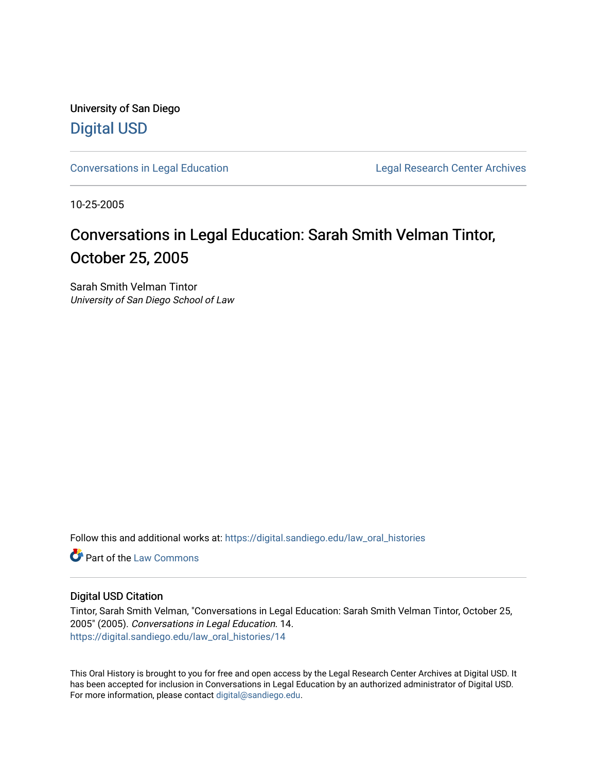University of San Diego [Digital USD](https://digital.sandiego.edu/)

[Conversations in Legal Education](https://digital.sandiego.edu/law_oral_histories) Legal Research Center Archives

10-25-2005

# Conversations in Legal Education: Sarah Smith Velman Tintor, October 25, 2005

Sarah Smith Velman Tintor University of San Diego School of Law

Follow this and additional works at: [https://digital.sandiego.edu/law\\_oral\\_histories](https://digital.sandiego.edu/law_oral_histories?utm_source=digital.sandiego.edu%2Flaw_oral_histories%2F14&utm_medium=PDF&utm_campaign=PDFCoverPages) 

**C** Part of the [Law Commons](http://network.bepress.com/hgg/discipline/578?utm_source=digital.sandiego.edu%2Flaw_oral_histories%2F14&utm_medium=PDF&utm_campaign=PDFCoverPages)

#### Digital USD Citation

Tintor, Sarah Smith Velman, "Conversations in Legal Education: Sarah Smith Velman Tintor, October 25, 2005" (2005). Conversations in Legal Education. 14. [https://digital.sandiego.edu/law\\_oral\\_histories/14](https://digital.sandiego.edu/law_oral_histories/14?utm_source=digital.sandiego.edu%2Flaw_oral_histories%2F14&utm_medium=PDF&utm_campaign=PDFCoverPages) 

This Oral History is brought to you for free and open access by the Legal Research Center Archives at Digital USD. It has been accepted for inclusion in Conversations in Legal Education by an authorized administrator of Digital USD. For more information, please contact [digital@sandiego.edu](mailto:digital@sandiego.edu).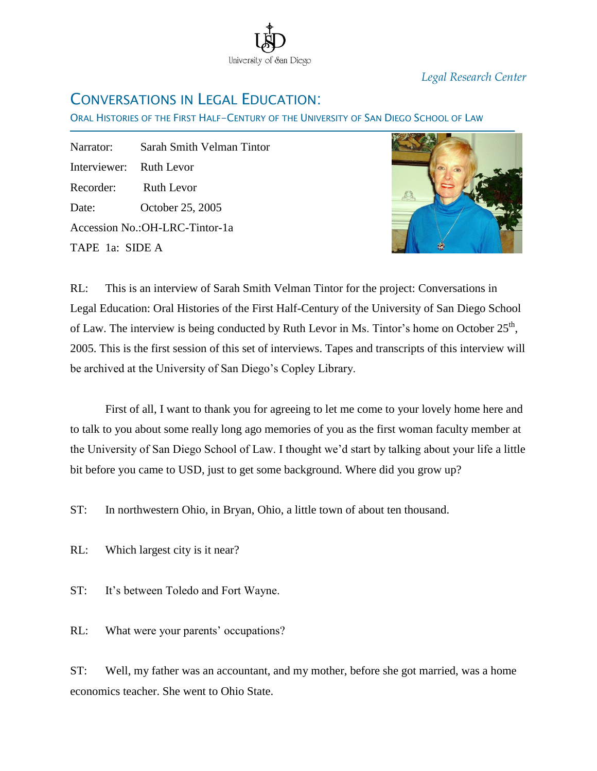

*Legal Research Center*

### CONVERSATIONS IN LEGAL EDUCATION:

ORAL HISTORIES OF THE FIRST HALF-CENTURY OF THE UNIVERSITY OF SAN DIEGO SCHOOL OF LAW

Narrator: Sarah Smith Velman Tintor Interviewer: Ruth Levor Recorder: Ruth Levor Date: October 25, 2005 Accession No.:OH-LRC-Tintor-1a TAPE 1a: SIDE A

Ī



RL: This is an interview of Sarah Smith Velman Tintor for the project: Conversations in Legal Education: Oral Histories of the First Half-Century of the University of San Diego School of Law. The interview is being conducted by Ruth Levor in Ms. Tintor's home on October  $25<sup>th</sup>$ , 2005. This is the first session of this set of interviews. Tapes and transcripts of this interview will be archived at the University of San Diego's Copley Library.

First of all, I want to thank you for agreeing to let me come to your lovely home here and to talk to you about some really long ago memories of you as the first woman faculty member at the University of San Diego School of Law. I thought we'd start by talking about your life a little bit before you came to USD, just to get some background. Where did you grow up?

ST: In northwestern Ohio, in Bryan, Ohio, a little town of about ten thousand.

- RL: Which largest city is it near?
- ST: It's between Toledo and Fort Wayne.
- RL: What were your parents' occupations?

ST: Well, my father was an accountant, and my mother, before she got married, was a home economics teacher. She went to Ohio State.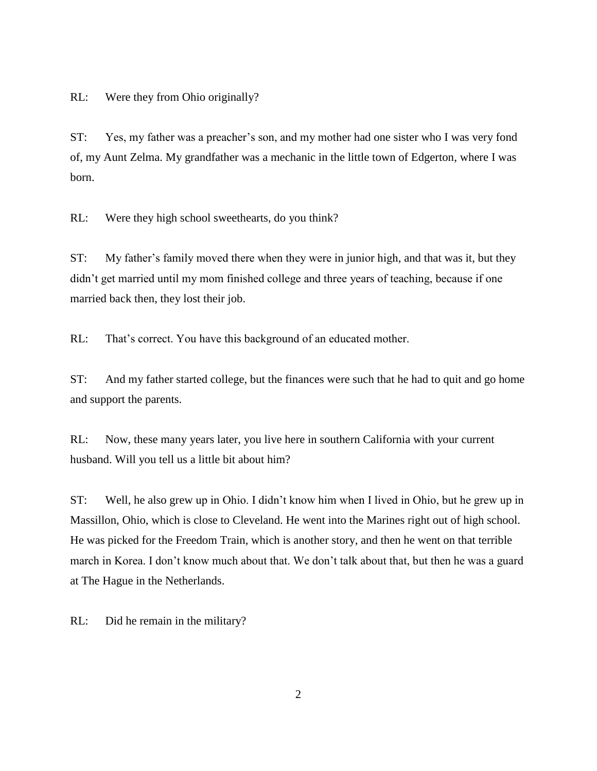RL: Were they from Ohio originally?

ST: Yes, my father was a preacher's son, and my mother had one sister who I was very fond of, my Aunt Zelma. My grandfather was a mechanic in the little town of Edgerton, where I was born.

RL: Were they high school sweethearts, do you think?

ST: My father's family moved there when they were in junior high, and that was it, but they didn't get married until my mom finished college and three years of teaching, because if one married back then, they lost their job.

RL: That's correct. You have this background of an educated mother.

ST: And my father started college, but the finances were such that he had to quit and go home and support the parents.

RL: Now, these many years later, you live here in southern California with your current husband. Will you tell us a little bit about him?

ST: Well, he also grew up in Ohio. I didn't know him when I lived in Ohio, but he grew up in Massillon, Ohio, which is close to Cleveland. He went into the Marines right out of high school. He was picked for the Freedom Train, which is another story, and then he went on that terrible march in Korea. I don't know much about that. We don't talk about that, but then he was a guard at The Hague in the Netherlands.

RL: Did he remain in the military?

2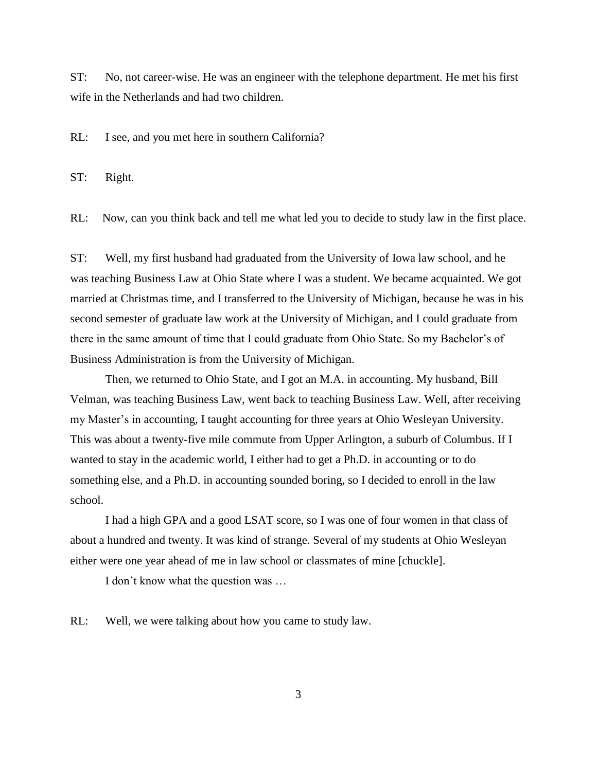ST: No, not career-wise. He was an engineer with the telephone department. He met his first wife in the Netherlands and had two children.

RL: I see, and you met here in southern California?

ST: Right.

RL: Now, can you think back and tell me what led you to decide to study law in the first place.

ST: Well, my first husband had graduated from the University of Iowa law school, and he was teaching Business Law at Ohio State where I was a student. We became acquainted. We got married at Christmas time, and I transferred to the University of Michigan, because he was in his second semester of graduate law work at the University of Michigan, and I could graduate from there in the same amount of time that I could graduate from Ohio State. So my Bachelor's of Business Administration is from the University of Michigan.

Then, we returned to Ohio State, and I got an M.A. in accounting. My husband, Bill Velman, was teaching Business Law, went back to teaching Business Law. Well, after receiving my Master's in accounting, I taught accounting for three years at Ohio Wesleyan University. This was about a twenty-five mile commute from Upper Arlington, a suburb of Columbus. If I wanted to stay in the academic world, I either had to get a Ph.D. in accounting or to do something else, and a Ph.D. in accounting sounded boring, so I decided to enroll in the law school.

I had a high GPA and a good LSAT score, so I was one of four women in that class of about a hundred and twenty. It was kind of strange. Several of my students at Ohio Wesleyan either were one year ahead of me in law school or classmates of mine [chuckle].

I don't know what the question was …

RL: Well, we were talking about how you came to study law.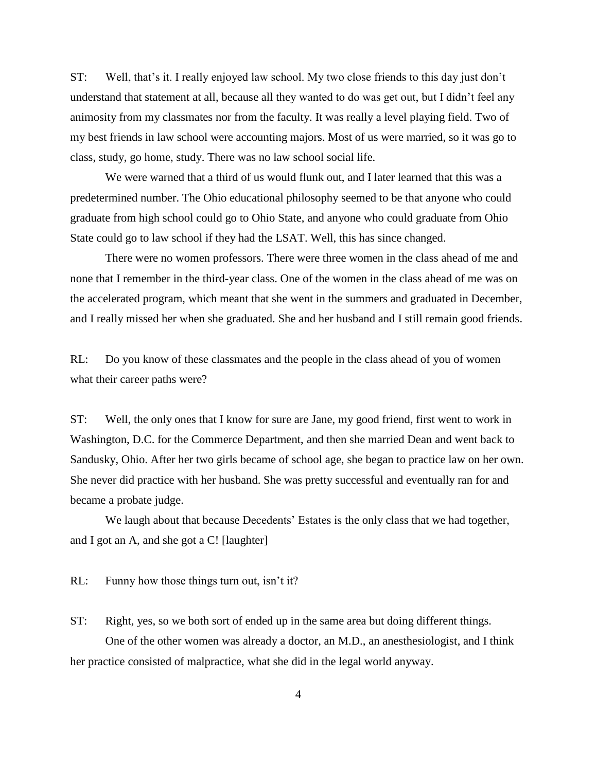ST: Well, that's it. I really enjoyed law school. My two close friends to this day just don't understand that statement at all, because all they wanted to do was get out, but I didn't feel any animosity from my classmates nor from the faculty. It was really a level playing field. Two of my best friends in law school were accounting majors. Most of us were married, so it was go to class, study, go home, study. There was no law school social life.

We were warned that a third of us would flunk out, and I later learned that this was a predetermined number. The Ohio educational philosophy seemed to be that anyone who could graduate from high school could go to Ohio State, and anyone who could graduate from Ohio State could go to law school if they had the LSAT. Well, this has since changed.

There were no women professors. There were three women in the class ahead of me and none that I remember in the third-year class. One of the women in the class ahead of me was on the accelerated program, which meant that she went in the summers and graduated in December, and I really missed her when she graduated. She and her husband and I still remain good friends.

RL: Do you know of these classmates and the people in the class ahead of you of women what their career paths were?

ST: Well, the only ones that I know for sure are Jane, my good friend, first went to work in Washington, D.C. for the Commerce Department, and then she married Dean and went back to Sandusky, Ohio. After her two girls became of school age, she began to practice law on her own. She never did practice with her husband. She was pretty successful and eventually ran for and became a probate judge.

We laugh about that because Decedents' Estates is the only class that we had together, and I got an A, and she got a C! [laughter]

RL: Funny how those things turn out, isn't it?

ST: Right, yes, so we both sort of ended up in the same area but doing different things. One of the other women was already a doctor, an M.D., an anesthesiologist, and I think

her practice consisted of malpractice, what she did in the legal world anyway.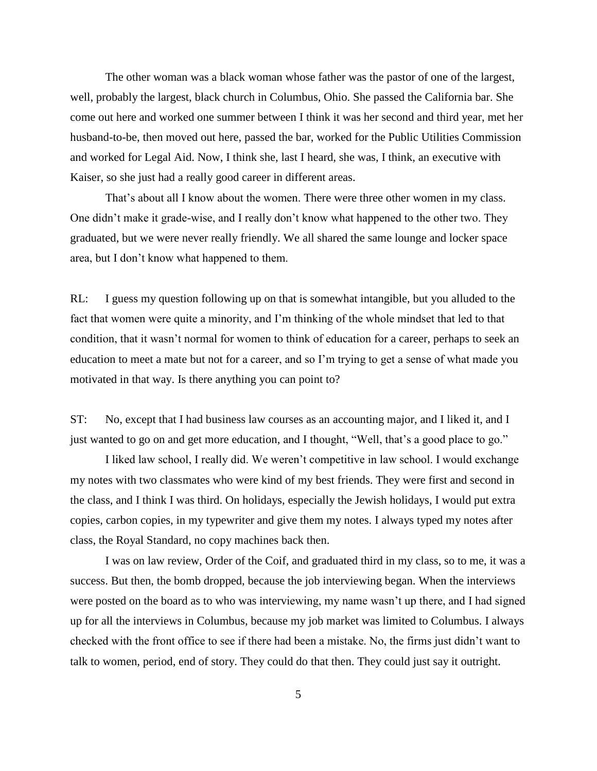The other woman was a black woman whose father was the pastor of one of the largest, well, probably the largest, black church in Columbus, Ohio. She passed the California bar. She come out here and worked one summer between I think it was her second and third year, met her husband-to-be, then moved out here, passed the bar, worked for the Public Utilities Commission and worked for Legal Aid. Now, I think she, last I heard, she was, I think, an executive with Kaiser, so she just had a really good career in different areas.

That's about all I know about the women. There were three other women in my class. One didn't make it grade-wise, and I really don't know what happened to the other two. They graduated, but we were never really friendly. We all shared the same lounge and locker space area, but I don't know what happened to them.

RL: I guess my question following up on that is somewhat intangible, but you alluded to the fact that women were quite a minority, and I'm thinking of the whole mindset that led to that condition, that it wasn't normal for women to think of education for a career, perhaps to seek an education to meet a mate but not for a career, and so I'm trying to get a sense of what made you motivated in that way. Is there anything you can point to?

ST: No, except that I had business law courses as an accounting major, and I liked it, and I just wanted to go on and get more education, and I thought, "Well, that's a good place to go."

I liked law school, I really did. We weren't competitive in law school. I would exchange my notes with two classmates who were kind of my best friends. They were first and second in the class, and I think I was third. On holidays, especially the Jewish holidays, I would put extra copies, carbon copies, in my typewriter and give them my notes. I always typed my notes after class, the Royal Standard, no copy machines back then.

I was on law review, Order of the Coif, and graduated third in my class, so to me, it was a success. But then, the bomb dropped, because the job interviewing began. When the interviews were posted on the board as to who was interviewing, my name wasn't up there, and I had signed up for all the interviews in Columbus, because my job market was limited to Columbus. I always checked with the front office to see if there had been a mistake. No, the firms just didn't want to talk to women, period, end of story. They could do that then. They could just say it outright.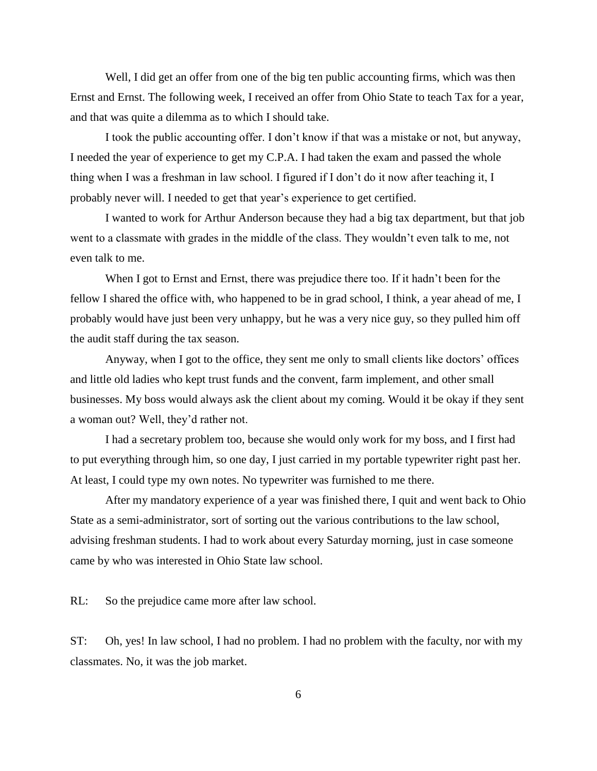Well, I did get an offer from one of the big ten public accounting firms, which was then Ernst and Ernst. The following week, I received an offer from Ohio State to teach Tax for a year, and that was quite a dilemma as to which I should take.

I took the public accounting offer. I don't know if that was a mistake or not, but anyway, I needed the year of experience to get my C.P.A. I had taken the exam and passed the whole thing when I was a freshman in law school. I figured if I don't do it now after teaching it, I probably never will. I needed to get that year's experience to get certified.

I wanted to work for Arthur Anderson because they had a big tax department, but that job went to a classmate with grades in the middle of the class. They wouldn't even talk to me, not even talk to me.

When I got to Ernst and Ernst, there was prejudice there too. If it hadn't been for the fellow I shared the office with, who happened to be in grad school, I think, a year ahead of me, I probably would have just been very unhappy, but he was a very nice guy, so they pulled him off the audit staff during the tax season.

Anyway, when I got to the office, they sent me only to small clients like doctors' offices and little old ladies who kept trust funds and the convent, farm implement, and other small businesses. My boss would always ask the client about my coming. Would it be okay if they sent a woman out? Well, they'd rather not.

I had a secretary problem too, because she would only work for my boss, and I first had to put everything through him, so one day, I just carried in my portable typewriter right past her. At least, I could type my own notes. No typewriter was furnished to me there.

After my mandatory experience of a year was finished there, I quit and went back to Ohio State as a semi-administrator, sort of sorting out the various contributions to the law school, advising freshman students. I had to work about every Saturday morning, just in case someone came by who was interested in Ohio State law school.

RL: So the prejudice came more after law school.

ST: Oh, yes! In law school, I had no problem. I had no problem with the faculty, nor with my classmates. No, it was the job market.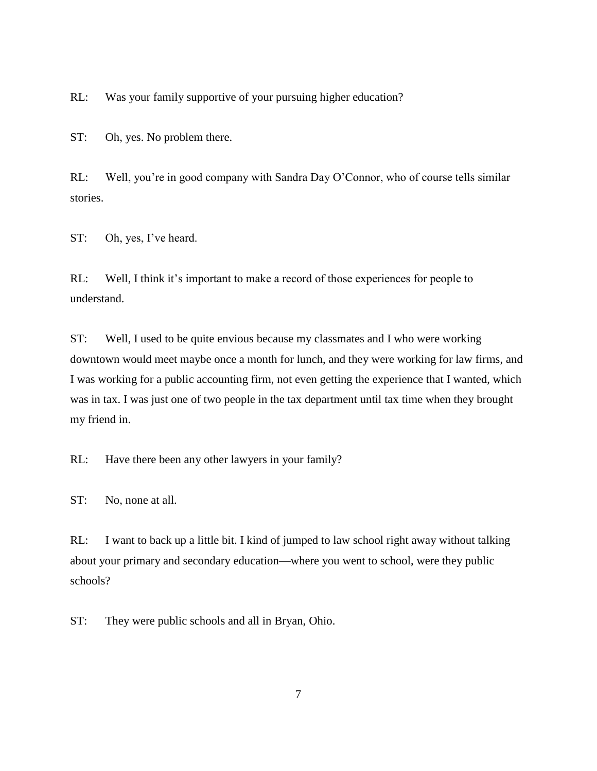RL: Was your family supportive of your pursuing higher education?

ST: Oh, yes. No problem there.

RL: Well, you're in good company with Sandra Day O'Connor, who of course tells similar stories.

ST: Oh, yes, I've heard.

RL: Well, I think it's important to make a record of those experiences for people to understand.

ST: Well, I used to be quite envious because my classmates and I who were working downtown would meet maybe once a month for lunch, and they were working for law firms, and I was working for a public accounting firm, not even getting the experience that I wanted, which was in tax. I was just one of two people in the tax department until tax time when they brought my friend in.

RL: Have there been any other lawyers in your family?

ST: No, none at all.

RL: I want to back up a little bit. I kind of jumped to law school right away without talking about your primary and secondary education—where you went to school, were they public schools?

ST: They were public schools and all in Bryan, Ohio.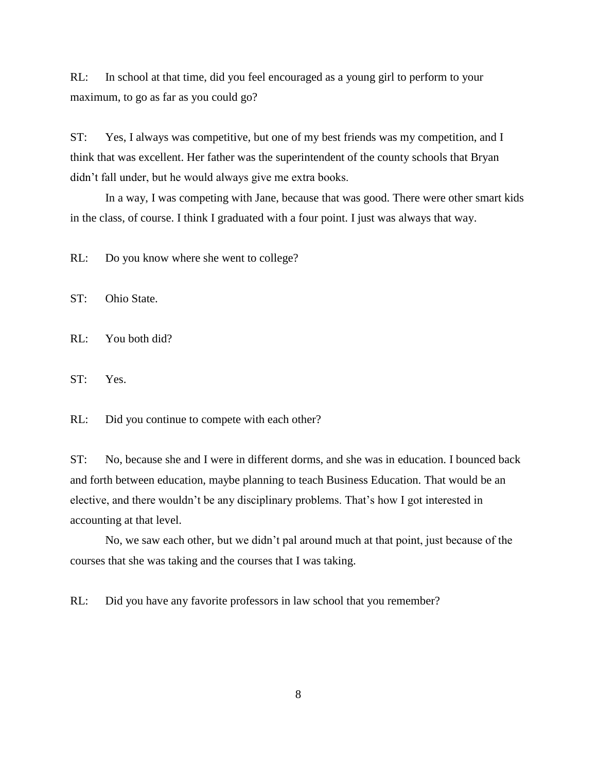RL: In school at that time, did you feel encouraged as a young girl to perform to your maximum, to go as far as you could go?

ST: Yes, I always was competitive, but one of my best friends was my competition, and I think that was excellent. Her father was the superintendent of the county schools that Bryan didn't fall under, but he would always give me extra books.

In a way, I was competing with Jane, because that was good. There were other smart kids in the class, of course. I think I graduated with a four point. I just was always that way.

RL: Do you know where she went to college?

ST: Ohio State.

RL: You both did?

ST: Yes.

RL: Did you continue to compete with each other?

ST: No, because she and I were in different dorms, and she was in education. I bounced back and forth between education, maybe planning to teach Business Education. That would be an elective, and there wouldn't be any disciplinary problems. That's how I got interested in accounting at that level.

No, we saw each other, but we didn't pal around much at that point, just because of the courses that she was taking and the courses that I was taking.

RL: Did you have any favorite professors in law school that you remember?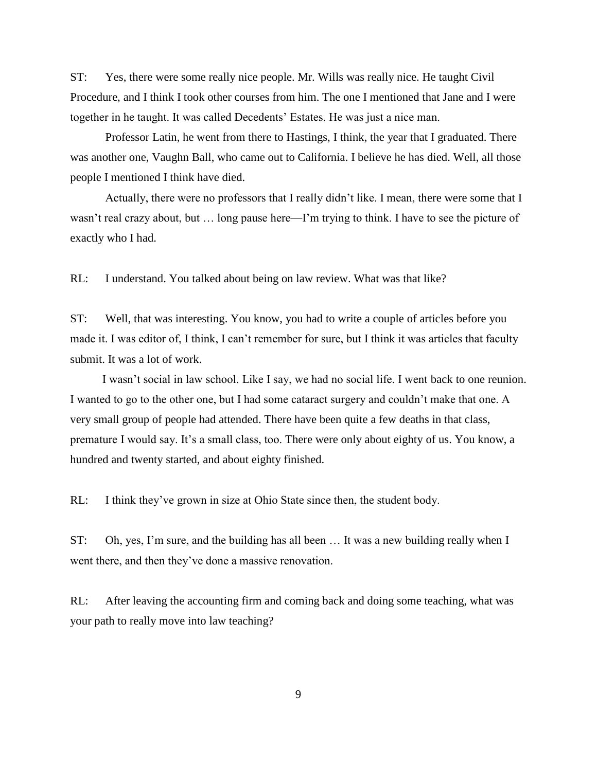ST: Yes, there were some really nice people. Mr. Wills was really nice. He taught Civil Procedure, and I think I took other courses from him. The one I mentioned that Jane and I were together in he taught. It was called Decedents' Estates. He was just a nice man.

Professor Latin, he went from there to Hastings, I think, the year that I graduated. There was another one, Vaughn Ball, who came out to California. I believe he has died. Well, all those people I mentioned I think have died.

Actually, there were no professors that I really didn't like. I mean, there were some that I wasn't real crazy about, but … long pause here—I'm trying to think. I have to see the picture of exactly who I had.

RL: I understand. You talked about being on law review. What was that like?

ST: Well, that was interesting. You know, you had to write a couple of articles before you made it. I was editor of, I think, I can't remember for sure, but I think it was articles that faculty submit. It was a lot of work.

I wasn't social in law school. Like I say, we had no social life. I went back to one reunion. I wanted to go to the other one, but I had some cataract surgery and couldn't make that one. A very small group of people had attended. There have been quite a few deaths in that class, premature I would say. It's a small class, too. There were only about eighty of us. You know, a hundred and twenty started, and about eighty finished.

RL: I think they've grown in size at Ohio State since then, the student body.

ST: Oh, yes, I'm sure, and the building has all been … It was a new building really when I went there, and then they've done a massive renovation.

RL: After leaving the accounting firm and coming back and doing some teaching, what was your path to really move into law teaching?

9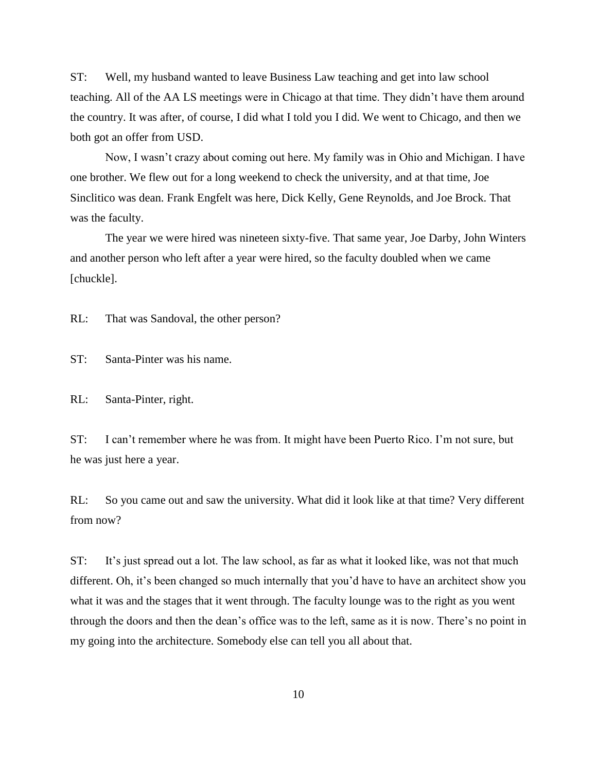ST: Well, my husband wanted to leave Business Law teaching and get into law school teaching. All of the AA LS meetings were in Chicago at that time. They didn't have them around the country. It was after, of course, I did what I told you I did. We went to Chicago, and then we both got an offer from USD.

Now, I wasn't crazy about coming out here. My family was in Ohio and Michigan. I have one brother. We flew out for a long weekend to check the university, and at that time, Joe Sinclitico was dean. Frank Engfelt was here, Dick Kelly, Gene Reynolds, and Joe Brock. That was the faculty.

The year we were hired was nineteen sixty-five. That same year, Joe Darby, John Winters and another person who left after a year were hired, so the faculty doubled when we came [chuckle].

RL: That was Sandoval, the other person?

ST: Santa-Pinter was his name.

RL: Santa-Pinter, right.

ST: I can't remember where he was from. It might have been Puerto Rico. I'm not sure, but he was just here a year.

RL: So you came out and saw the university. What did it look like at that time? Very different from now?

ST: It's just spread out a lot. The law school, as far as what it looked like, was not that much different. Oh, it's been changed so much internally that you'd have to have an architect show you what it was and the stages that it went through. The faculty lounge was to the right as you went through the doors and then the dean's office was to the left, same as it is now. There's no point in my going into the architecture. Somebody else can tell you all about that.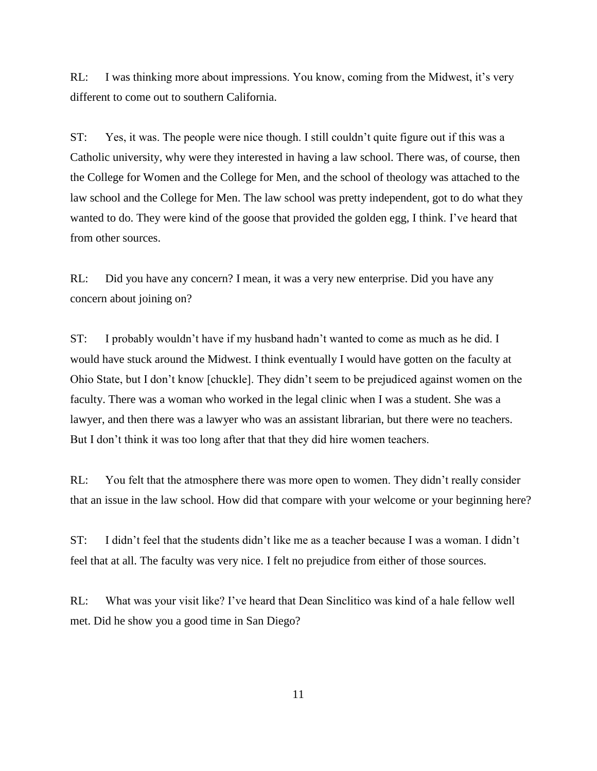RL: I was thinking more about impressions. You know, coming from the Midwest, it's very different to come out to southern California.

ST: Yes, it was. The people were nice though. I still couldn't quite figure out if this was a Catholic university, why were they interested in having a law school. There was, of course, then the College for Women and the College for Men, and the school of theology was attached to the law school and the College for Men. The law school was pretty independent, got to do what they wanted to do. They were kind of the goose that provided the golden egg, I think. I've heard that from other sources.

RL: Did you have any concern? I mean, it was a very new enterprise. Did you have any concern about joining on?

ST: I probably wouldn't have if my husband hadn't wanted to come as much as he did. I would have stuck around the Midwest. I think eventually I would have gotten on the faculty at Ohio State, but I don't know [chuckle]. They didn't seem to be prejudiced against women on the faculty. There was a woman who worked in the legal clinic when I was a student. She was a lawyer, and then there was a lawyer who was an assistant librarian, but there were no teachers. But I don't think it was too long after that that they did hire women teachers.

RL: You felt that the atmosphere there was more open to women. They didn't really consider that an issue in the law school. How did that compare with your welcome or your beginning here?

ST: I didn't feel that the students didn't like me as a teacher because I was a woman. I didn't feel that at all. The faculty was very nice. I felt no prejudice from either of those sources.

RL: What was your visit like? I've heard that Dean Sinclitico was kind of a hale fellow well met. Did he show you a good time in San Diego?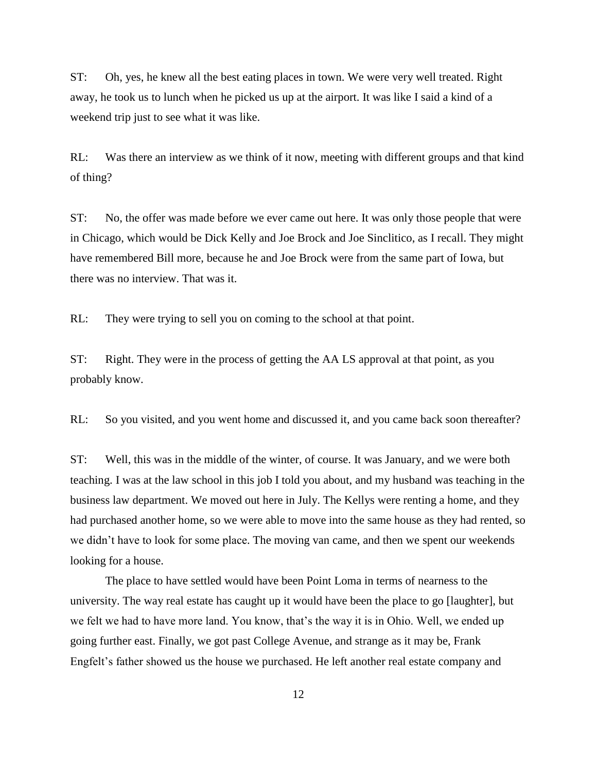ST: Oh, yes, he knew all the best eating places in town. We were very well treated. Right away, he took us to lunch when he picked us up at the airport. It was like I said a kind of a weekend trip just to see what it was like.

RL: Was there an interview as we think of it now, meeting with different groups and that kind of thing?

ST: No, the offer was made before we ever came out here. It was only those people that were in Chicago, which would be Dick Kelly and Joe Brock and Joe Sinclitico, as I recall. They might have remembered Bill more, because he and Joe Brock were from the same part of Iowa, but there was no interview. That was it.

RL: They were trying to sell you on coming to the school at that point.

ST: Right. They were in the process of getting the AA LS approval at that point, as you probably know.

RL: So you visited, and you went home and discussed it, and you came back soon thereafter?

ST: Well, this was in the middle of the winter, of course. It was January, and we were both teaching. I was at the law school in this job I told you about, and my husband was teaching in the business law department. We moved out here in July. The Kellys were renting a home, and they had purchased another home, so we were able to move into the same house as they had rented, so we didn't have to look for some place. The moving van came, and then we spent our weekends looking for a house.

The place to have settled would have been Point Loma in terms of nearness to the university. The way real estate has caught up it would have been the place to go [laughter], but we felt we had to have more land. You know, that's the way it is in Ohio. Well, we ended up going further east. Finally, we got past College Avenue, and strange as it may be, Frank Engfelt's father showed us the house we purchased. He left another real estate company and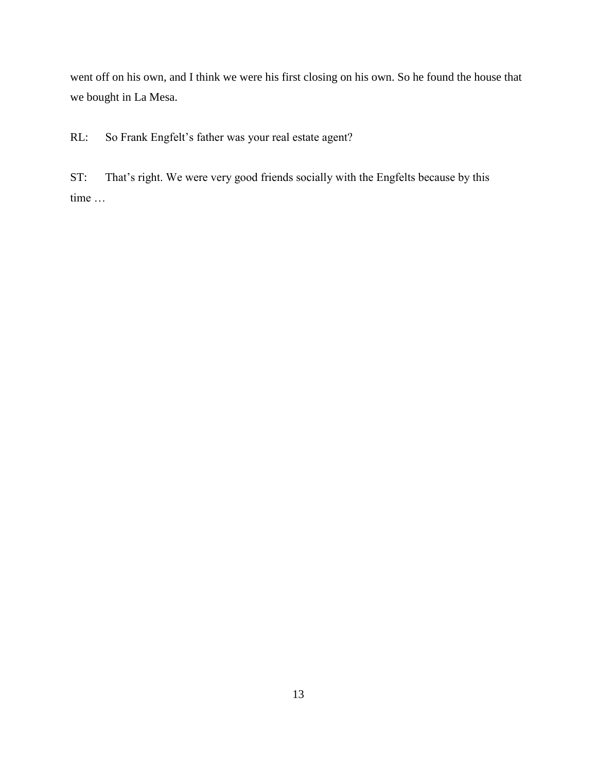went off on his own, and I think we were his first closing on his own. So he found the house that we bought in La Mesa.

RL: So Frank Engfelt's father was your real estate agent?

ST: That's right. We were very good friends socially with the Engfelts because by this time …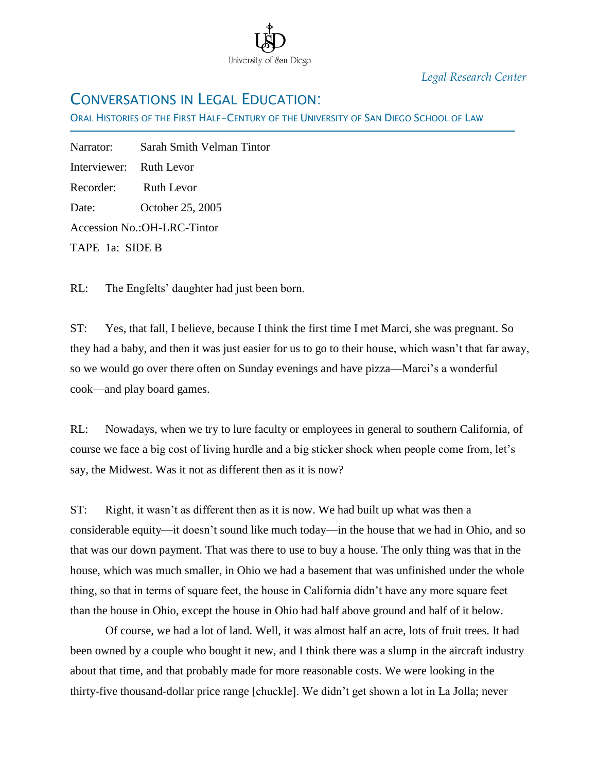

*Legal Research Center*

### CONVERSATIONS IN LEGAL EDUCATION:

ORAL HISTORIES OF THE FIRST HALF-CENTURY OF THE UNIVERSITY OF SAN DIEGO SCHOOL OF LAW

Narrator: Sarah Smith Velman Tintor Interviewer: Ruth Levor Recorder: Ruth Levor Date: October 25, 2005 Accession No.:OH-LRC-Tintor TAPE 1a: SIDE B

Ī

RL: The Engfelts' daughter had just been born.

ST: Yes, that fall, I believe, because I think the first time I met Marci, she was pregnant. So they had a baby, and then it was just easier for us to go to their house, which wasn't that far away, so we would go over there often on Sunday evenings and have pizza—Marci's a wonderful cook—and play board games.

RL: Nowadays, when we try to lure faculty or employees in general to southern California, of course we face a big cost of living hurdle and a big sticker shock when people come from, let's say, the Midwest. Was it not as different then as it is now?

ST: Right, it wasn't as different then as it is now. We had built up what was then a considerable equity—it doesn't sound like much today—in the house that we had in Ohio, and so that was our down payment. That was there to use to buy a house. The only thing was that in the house, which was much smaller, in Ohio we had a basement that was unfinished under the whole thing, so that in terms of square feet, the house in California didn't have any more square feet than the house in Ohio, except the house in Ohio had half above ground and half of it below.

Of course, we had a lot of land. Well, it was almost half an acre, lots of fruit trees. It had been owned by a couple who bought it new, and I think there was a slump in the aircraft industry about that time, and that probably made for more reasonable costs. We were looking in the thirty-five thousand-dollar price range [chuckle]. We didn't get shown a lot in La Jolla; never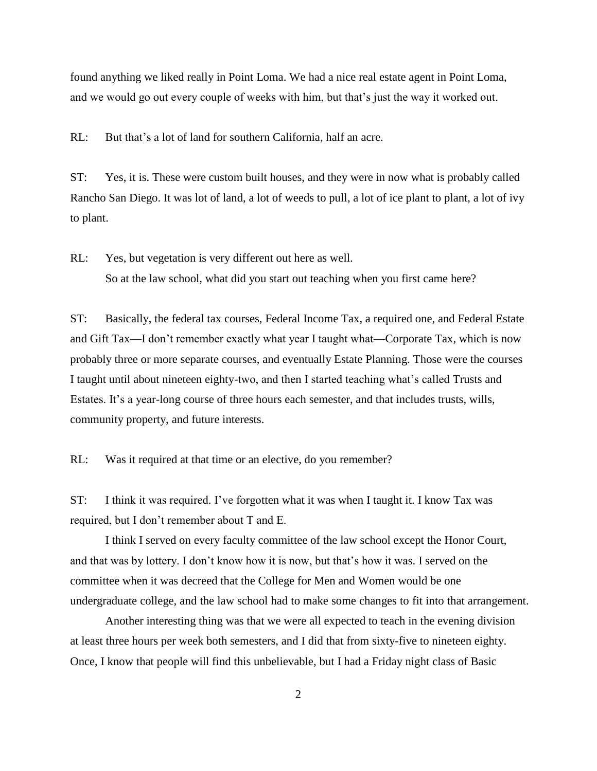found anything we liked really in Point Loma. We had a nice real estate agent in Point Loma, and we would go out every couple of weeks with him, but that's just the way it worked out.

RL: But that's a lot of land for southern California, half an acre.

ST: Yes, it is. These were custom built houses, and they were in now what is probably called Rancho San Diego. It was lot of land, a lot of weeds to pull, a lot of ice plant to plant, a lot of ivy to plant.

RL: Yes, but vegetation is very different out here as well. So at the law school, what did you start out teaching when you first came here?

ST: Basically, the federal tax courses, Federal Income Tax, a required one, and Federal Estate and Gift Tax—I don't remember exactly what year I taught what—Corporate Tax, which is now probably three or more separate courses, and eventually Estate Planning. Those were the courses I taught until about nineteen eighty-two, and then I started teaching what's called Trusts and Estates. It's a year-long course of three hours each semester, and that includes trusts, wills, community property, and future interests.

RL: Was it required at that time or an elective, do you remember?

ST: I think it was required. I've forgotten what it was when I taught it. I know Tax was required, but I don't remember about T and E.

I think I served on every faculty committee of the law school except the Honor Court, and that was by lottery. I don't know how it is now, but that's how it was. I served on the committee when it was decreed that the College for Men and Women would be one undergraduate college, and the law school had to make some changes to fit into that arrangement.

Another interesting thing was that we were all expected to teach in the evening division at least three hours per week both semesters, and I did that from sixty-five to nineteen eighty. Once, I know that people will find this unbelievable, but I had a Friday night class of Basic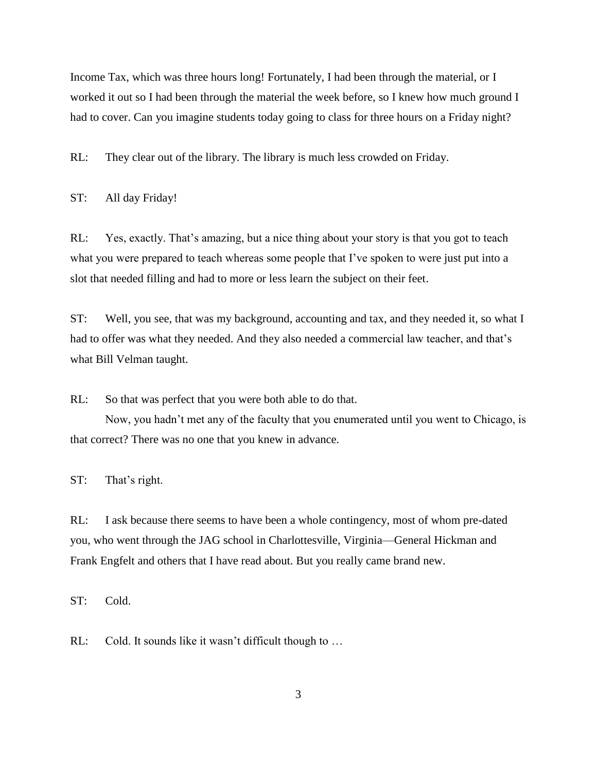Income Tax, which was three hours long! Fortunately, I had been through the material, or I worked it out so I had been through the material the week before, so I knew how much ground I had to cover. Can you imagine students today going to class for three hours on a Friday night?

RL: They clear out of the library. The library is much less crowded on Friday.

ST: All day Friday!

RL: Yes, exactly. That's amazing, but a nice thing about your story is that you got to teach what you were prepared to teach whereas some people that I've spoken to were just put into a slot that needed filling and had to more or less learn the subject on their feet.

ST: Well, you see, that was my background, accounting and tax, and they needed it, so what I had to offer was what they needed. And they also needed a commercial law teacher, and that's what Bill Velman taught.

RL: So that was perfect that you were both able to do that.

Now, you hadn't met any of the faculty that you enumerated until you went to Chicago, is that correct? There was no one that you knew in advance.

ST: That's right.

RL: I ask because there seems to have been a whole contingency, most of whom pre-dated you, who went through the JAG school in Charlottesville, Virginia—General Hickman and Frank Engfelt and others that I have read about. But you really came brand new.

ST: Cold.

RL: Cold. It sounds like it wasn't difficult though to ...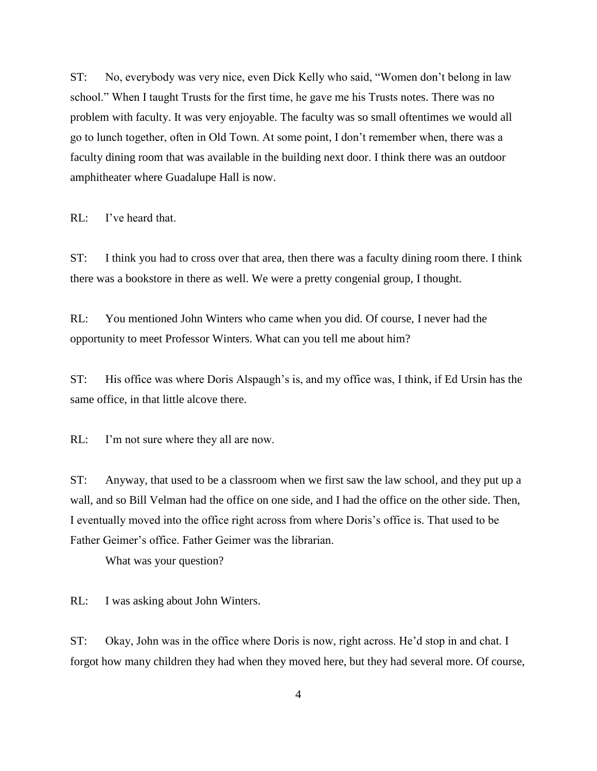ST: No, everybody was very nice, even Dick Kelly who said, "Women don't belong in law school." When I taught Trusts for the first time, he gave me his Trusts notes. There was no problem with faculty. It was very enjoyable. The faculty was so small oftentimes we would all go to lunch together, often in Old Town. At some point, I don't remember when, there was a faculty dining room that was available in the building next door. I think there was an outdoor amphitheater where Guadalupe Hall is now.

RL: I've heard that.

ST: I think you had to cross over that area, then there was a faculty dining room there. I think there was a bookstore in there as well. We were a pretty congenial group, I thought.

RL: You mentioned John Winters who came when you did. Of course, I never had the opportunity to meet Professor Winters. What can you tell me about him?

ST: His office was where Doris Alspaugh's is, and my office was, I think, if Ed Ursin has the same office, in that little alcove there.

RL: I'm not sure where they all are now.

ST: Anyway, that used to be a classroom when we first saw the law school, and they put up a wall, and so Bill Velman had the office on one side, and I had the office on the other side. Then, I eventually moved into the office right across from where Doris's office is. That used to be Father Geimer's office. Father Geimer was the librarian.

What was your question?

RL: I was asking about John Winters.

ST: Okay, John was in the office where Doris is now, right across. He'd stop in and chat. I forgot how many children they had when they moved here, but they had several more. Of course,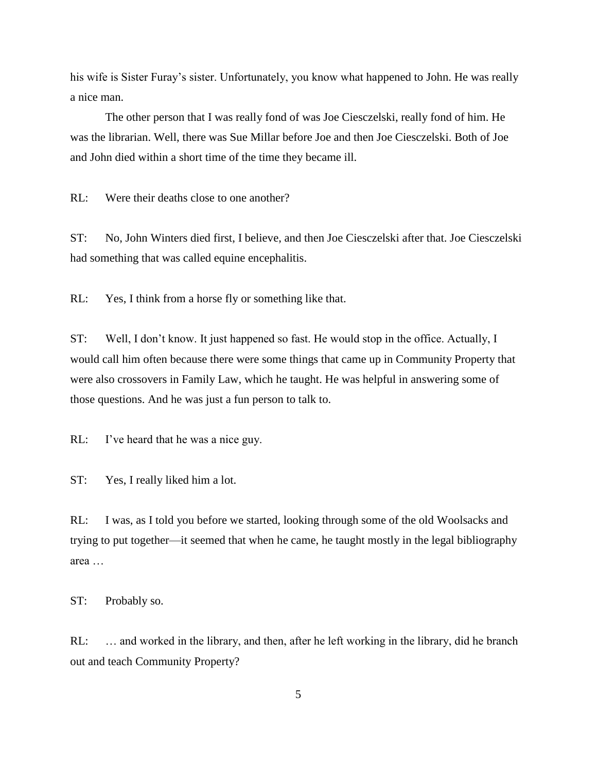his wife is Sister Furay's sister. Unfortunately, you know what happened to John. He was really a nice man.

The other person that I was really fond of was Joe Ciesczelski, really fond of him. He was the librarian. Well, there was Sue Millar before Joe and then Joe Ciesczelski. Both of Joe and John died within a short time of the time they became ill.

RL: Were their deaths close to one another?

ST: No, John Winters died first, I believe, and then Joe Ciesczelski after that. Joe Ciesczelski had something that was called equine encephalitis.

RL: Yes, I think from a horse fly or something like that.

ST: Well, I don't know. It just happened so fast. He would stop in the office. Actually, I would call him often because there were some things that came up in Community Property that were also crossovers in Family Law, which he taught. He was helpful in answering some of those questions. And he was just a fun person to talk to.

RL: I've heard that he was a nice guy.

ST: Yes, I really liked him a lot.

RL: I was, as I told you before we started, looking through some of the old Woolsacks and trying to put together—it seemed that when he came, he taught mostly in the legal bibliography area …

ST: Probably so.

RL: … and worked in the library, and then, after he left working in the library, did he branch out and teach Community Property?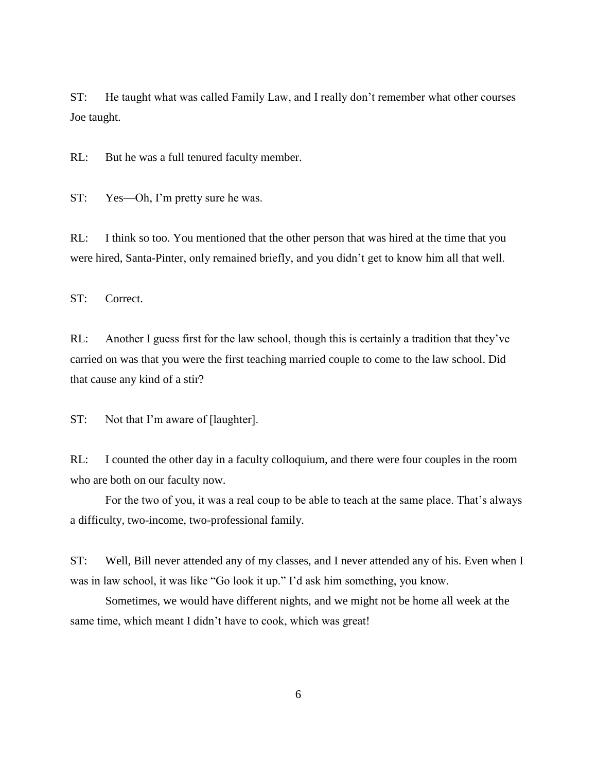ST: He taught what was called Family Law, and I really don't remember what other courses Joe taught.

RL: But he was a full tenured faculty member.

ST: Yes—Oh, I'm pretty sure he was.

RL: I think so too. You mentioned that the other person that was hired at the time that you were hired, Santa-Pinter, only remained briefly, and you didn't get to know him all that well.

ST: Correct.

RL: Another I guess first for the law school, though this is certainly a tradition that they've carried on was that you were the first teaching married couple to come to the law school. Did that cause any kind of a stir?

ST: Not that I'm aware of [laughter].

RL: I counted the other day in a faculty colloquium, and there were four couples in the room who are both on our faculty now.

For the two of you, it was a real coup to be able to teach at the same place. That's always a difficulty, two-income, two-professional family.

ST: Well, Bill never attended any of my classes, and I never attended any of his. Even when I was in law school, it was like "Go look it up." I'd ask him something, you know.

Sometimes, we would have different nights, and we might not be home all week at the same time, which meant I didn't have to cook, which was great!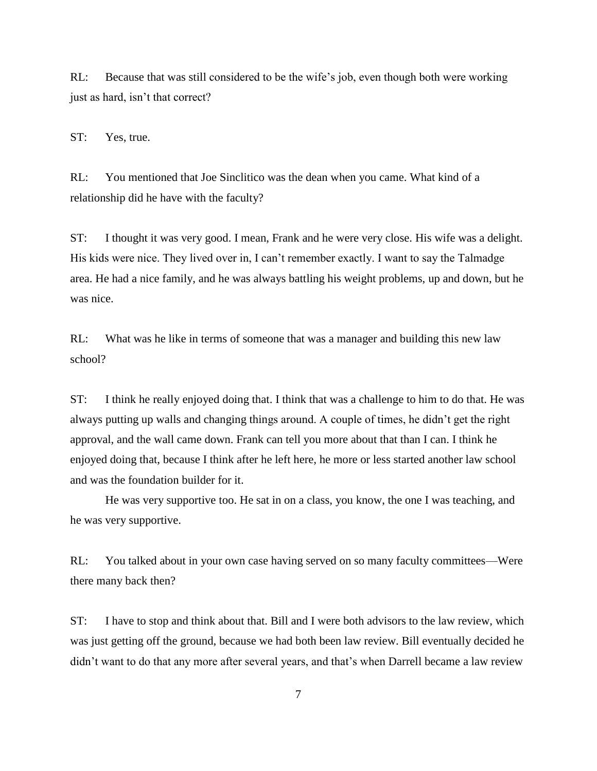RL: Because that was still considered to be the wife's job, even though both were working just as hard, isn't that correct?

ST: Yes, true.

RL: You mentioned that Joe Sinclitico was the dean when you came. What kind of a relationship did he have with the faculty?

ST: I thought it was very good. I mean, Frank and he were very close. His wife was a delight. His kids were nice. They lived over in, I can't remember exactly. I want to say the Talmadge area. He had a nice family, and he was always battling his weight problems, up and down, but he was nice.

RL: What was he like in terms of someone that was a manager and building this new law school?

ST: I think he really enjoyed doing that. I think that was a challenge to him to do that. He was always putting up walls and changing things around. A couple of times, he didn't get the right approval, and the wall came down. Frank can tell you more about that than I can. I think he enjoyed doing that, because I think after he left here, he more or less started another law school and was the foundation builder for it.

He was very supportive too. He sat in on a class, you know, the one I was teaching, and he was very supportive.

RL: You talked about in your own case having served on so many faculty committees—Were there many back then?

ST: I have to stop and think about that. Bill and I were both advisors to the law review, which was just getting off the ground, because we had both been law review. Bill eventually decided he didn't want to do that any more after several years, and that's when Darrell became a law review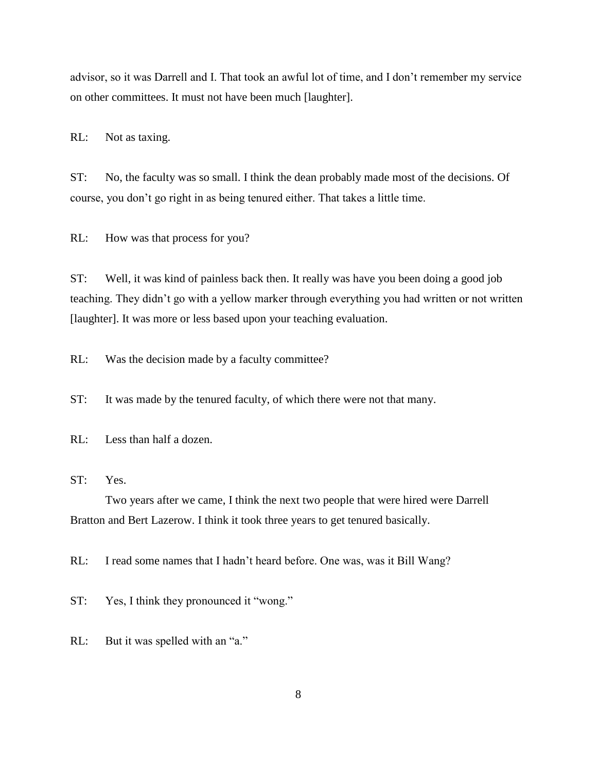advisor, so it was Darrell and I. That took an awful lot of time, and I don't remember my service on other committees. It must not have been much [laughter].

RL: Not as taxing.

ST: No, the faculty was so small. I think the dean probably made most of the decisions. Of course, you don't go right in as being tenured either. That takes a little time.

RL: How was that process for you?

ST: Well, it was kind of painless back then. It really was have you been doing a good job teaching. They didn't go with a yellow marker through everything you had written or not written [laughter]. It was more or less based upon your teaching evaluation.

RL: Was the decision made by a faculty committee?

ST: It was made by the tenured faculty, of which there were not that many.

RL: Less than half a dozen.

ST: Yes.

Two years after we came, I think the next two people that were hired were Darrell Bratton and Bert Lazerow. I think it took three years to get tenured basically.

RL: I read some names that I hadn't heard before. One was, was it Bill Wang?

ST: Yes, I think they pronounced it "wong."

RL: But it was spelled with an "a."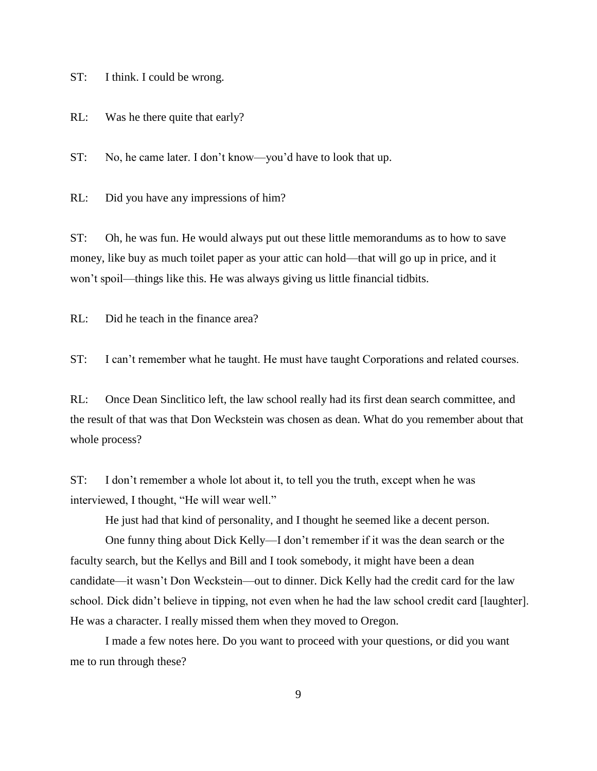ST: I think. I could be wrong.

RL: Was he there quite that early?

ST: No, he came later. I don't know—you'd have to look that up.

RL: Did you have any impressions of him?

ST: Oh, he was fun. He would always put out these little memorandums as to how to save money, like buy as much toilet paper as your attic can hold—that will go up in price, and it won't spoil—things like this. He was always giving us little financial tidbits.

RL: Did he teach in the finance area?

ST: I can't remember what he taught. He must have taught Corporations and related courses.

RL: Once Dean Sinclitico left, the law school really had its first dean search committee, and the result of that was that Don Weckstein was chosen as dean. What do you remember about that whole process?

ST: I don't remember a whole lot about it, to tell you the truth, except when he was interviewed, I thought, "He will wear well."

He just had that kind of personality, and I thought he seemed like a decent person.

One funny thing about Dick Kelly—I don't remember if it was the dean search or the faculty search, but the Kellys and Bill and I took somebody, it might have been a dean candidate—it wasn't Don Weckstein—out to dinner. Dick Kelly had the credit card for the law school. Dick didn't believe in tipping, not even when he had the law school credit card [laughter]. He was a character. I really missed them when they moved to Oregon.

I made a few notes here. Do you want to proceed with your questions, or did you want me to run through these?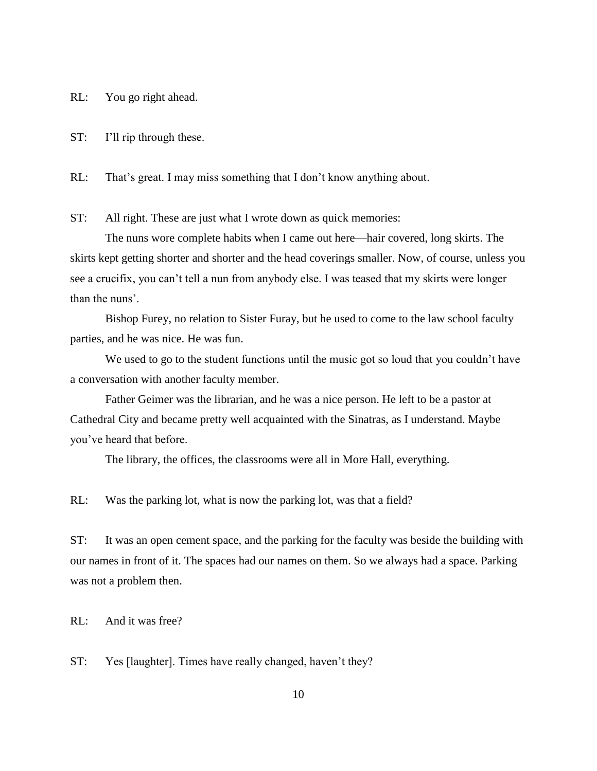RL: You go right ahead.

ST: I'll rip through these.

RL: That's great. I may miss something that I don't know anything about.

ST: All right. These are just what I wrote down as quick memories:

The nuns wore complete habits when I came out here—hair covered, long skirts. The skirts kept getting shorter and shorter and the head coverings smaller. Now, of course, unless you see a crucifix, you can't tell a nun from anybody else. I was teased that my skirts were longer than the nuns'.

Bishop Furey, no relation to Sister Furay, but he used to come to the law school faculty parties, and he was nice. He was fun.

We used to go to the student functions until the music got so loud that you couldn't have a conversation with another faculty member.

Father Geimer was the librarian, and he was a nice person. He left to be a pastor at Cathedral City and became pretty well acquainted with the Sinatras, as I understand. Maybe you've heard that before.

The library, the offices, the classrooms were all in More Hall, everything.

RL: Was the parking lot, what is now the parking lot, was that a field?

ST: It was an open cement space, and the parking for the faculty was beside the building with our names in front of it. The spaces had our names on them. So we always had a space. Parking was not a problem then.

RL: And it was free?

ST: Yes [laughter]. Times have really changed, haven't they?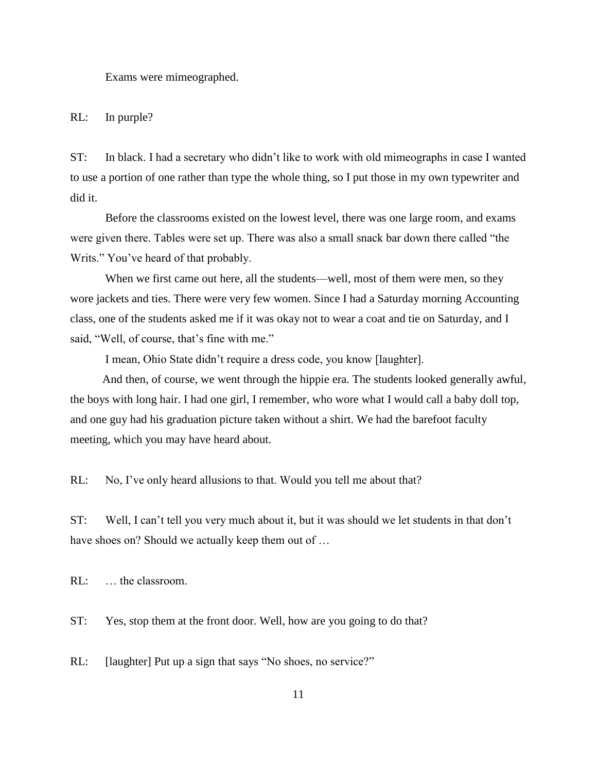Exams were mimeographed.

RL: In purple?

ST: In black. I had a secretary who didn't like to work with old mimeographs in case I wanted to use a portion of one rather than type the whole thing, so I put those in my own typewriter and did it.

Before the classrooms existed on the lowest level, there was one large room, and exams were given there. Tables were set up. There was also a small snack bar down there called "the Writs." You've heard of that probably.

When we first came out here, all the students—well, most of them were men, so they wore jackets and ties. There were very few women. Since I had a Saturday morning Accounting class, one of the students asked me if it was okay not to wear a coat and tie on Saturday, and I said, "Well, of course, that's fine with me."

I mean, Ohio State didn't require a dress code, you know [laughter].

And then, of course, we went through the hippie era. The students looked generally awful, the boys with long hair. I had one girl, I remember, who wore what I would call a baby doll top, and one guy had his graduation picture taken without a shirt. We had the barefoot faculty meeting, which you may have heard about.

RL: No, I've only heard allusions to that. Would you tell me about that?

ST: Well, I can't tell you very much about it, but it was should we let students in that don't have shoes on? Should we actually keep them out of ...

RL: … the classroom.

ST: Yes, stop them at the front door. Well, how are you going to do that?

RL: [laughter] Put up a sign that says "No shoes, no service?"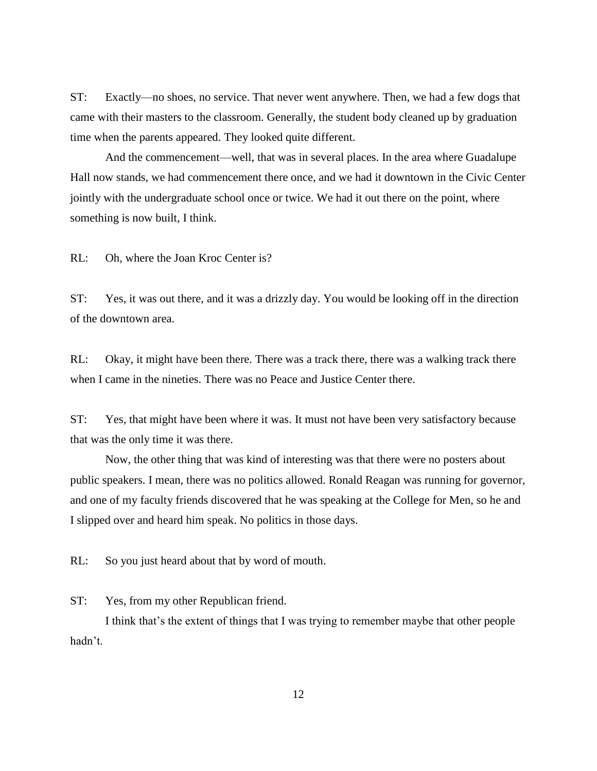ST: Exactly—no shoes, no service. That never went anywhere. Then, we had a few dogs that came with their masters to the classroom. Generally, the student body cleaned up by graduation time when the parents appeared. They looked quite different.

And the commencement—well, that was in several places. In the area where Guadalupe Hall now stands, we had commencement there once, and we had it downtown in the Civic Center jointly with the undergraduate school once or twice. We had it out there on the point, where something is now built, I think.

RL: Oh, where the Joan Kroc Center is?

ST: Yes, it was out there, and it was a drizzly day. You would be looking off in the direction of the downtown area.

RL: Okay, it might have been there. There was a track there, there was a walking track there when I came in the nineties. There was no Peace and Justice Center there.

ST: Yes, that might have been where it was. It must not have been very satisfactory because that was the only time it was there.

Now, the other thing that was kind of interesting was that there were no posters about public speakers. I mean, there was no politics allowed. Ronald Reagan was running for governor, and one of my faculty friends discovered that he was speaking at the College for Men, so he and I slipped over and heard him speak. No politics in those days.

RL: So you just heard about that by word of mouth.

ST: Yes, from my other Republican friend.

I think that's the extent of things that I was trying to remember maybe that other people hadn't.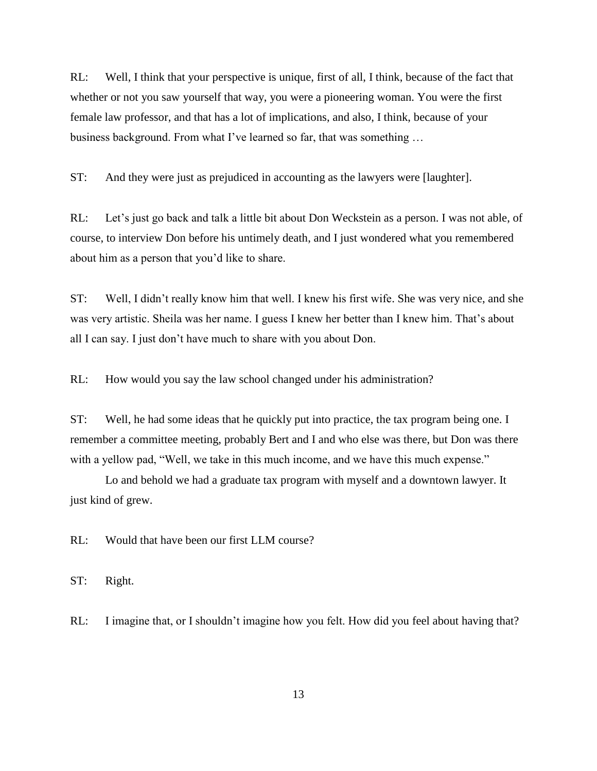RL: Well, I think that your perspective is unique, first of all, I think, because of the fact that whether or not you saw yourself that way, you were a pioneering woman. You were the first female law professor, and that has a lot of implications, and also, I think, because of your business background. From what I've learned so far, that was something …

ST: And they were just as prejudiced in accounting as the lawyers were [laughter].

RL: Let's just go back and talk a little bit about Don Weckstein as a person. I was not able, of course, to interview Don before his untimely death, and I just wondered what you remembered about him as a person that you'd like to share.

ST: Well, I didn't really know him that well. I knew his first wife. She was very nice, and she was very artistic. Sheila was her name. I guess I knew her better than I knew him. That's about all I can say. I just don't have much to share with you about Don.

RL: How would you say the law school changed under his administration?

ST: Well, he had some ideas that he quickly put into practice, the tax program being one. I remember a committee meeting, probably Bert and I and who else was there, but Don was there with a yellow pad, "Well, we take in this much income, and we have this much expense."

Lo and behold we had a graduate tax program with myself and a downtown lawyer. It just kind of grew.

RL: Would that have been our first LLM course?

ST: Right.

RL: I imagine that, or I shouldn't imagine how you felt. How did you feel about having that?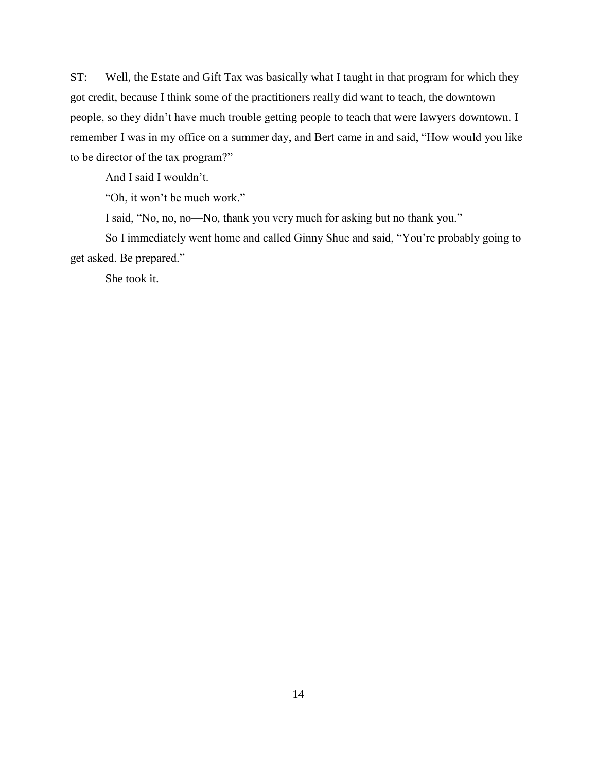ST: Well, the Estate and Gift Tax was basically what I taught in that program for which they got credit, because I think some of the practitioners really did want to teach, the downtown people, so they didn't have much trouble getting people to teach that were lawyers downtown. I remember I was in my office on a summer day, and Bert came in and said, "How would you like to be director of the tax program?"

And I said I wouldn't.

"Oh, it won't be much work."

I said, "No, no, no—No, thank you very much for asking but no thank you."

So I immediately went home and called Ginny Shue and said, "You're probably going to get asked. Be prepared."

She took it.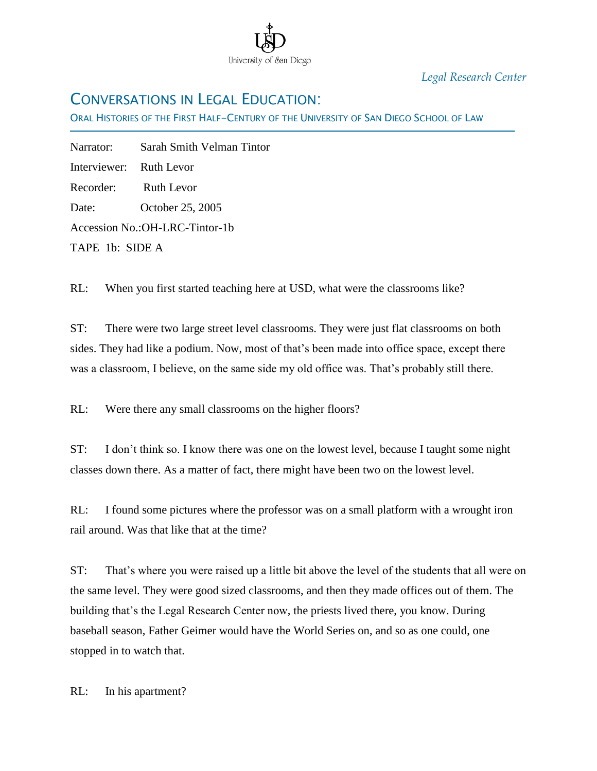

*Legal Research Center*

## CONVERSATIONS IN LEGAL EDUCATION:

ORAL HISTORIES OF THE FIRST HALF-CENTURY OF THE UNIVERSITY OF SAN DIEGO SCHOOL OF LAW

Narrator: Sarah Smith Velman Tintor Interviewer: Ruth Levor Recorder: Ruth Levor Date: October 25, 2005 Accession No.:OH-LRC-Tintor-1b TAPE 1b: SIDE A

Ī

RL: When you first started teaching here at USD, what were the classrooms like?

ST: There were two large street level classrooms. They were just flat classrooms on both sides. They had like a podium. Now, most of that's been made into office space, except there was a classroom, I believe, on the same side my old office was. That's probably still there.

RL: Were there any small classrooms on the higher floors?

ST: I don't think so. I know there was one on the lowest level, because I taught some night classes down there. As a matter of fact, there might have been two on the lowest level.

RL: I found some pictures where the professor was on a small platform with a wrought iron rail around. Was that like that at the time?

ST: That's where you were raised up a little bit above the level of the students that all were on the same level. They were good sized classrooms, and then they made offices out of them. The building that's the Legal Research Center now, the priests lived there, you know. During baseball season, Father Geimer would have the World Series on, and so as one could, one stopped in to watch that.

RL: In his apartment?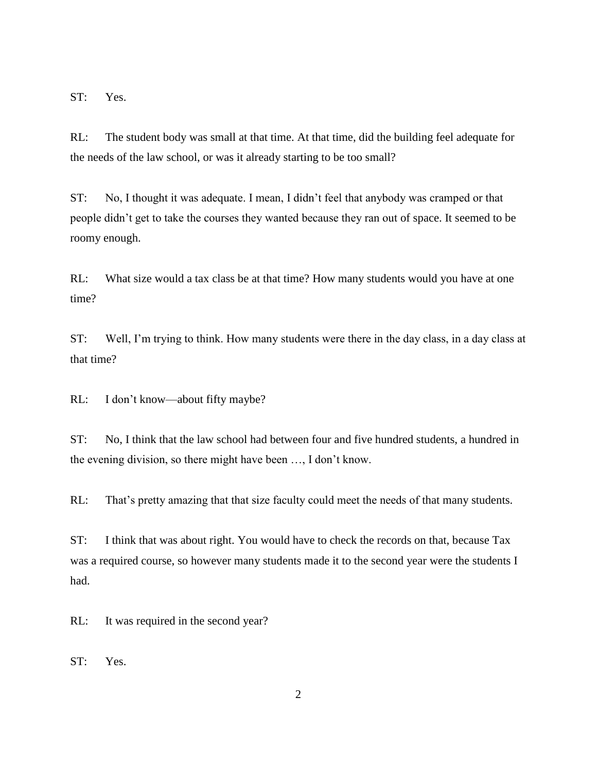ST: Yes.

RL: The student body was small at that time. At that time, did the building feel adequate for the needs of the law school, or was it already starting to be too small?

ST: No, I thought it was adequate. I mean, I didn't feel that anybody was cramped or that people didn't get to take the courses they wanted because they ran out of space. It seemed to be roomy enough.

RL: What size would a tax class be at that time? How many students would you have at one time?

ST: Well, I'm trying to think. How many students were there in the day class, in a day class at that time?

RL: I don't know—about fifty maybe?

ST: No, I think that the law school had between four and five hundred students, a hundred in the evening division, so there might have been …, I don't know.

RL: That's pretty amazing that that size faculty could meet the needs of that many students.

ST: I think that was about right. You would have to check the records on that, because Tax was a required course, so however many students made it to the second year were the students I had.

RL: It was required in the second year?

ST: Yes.

2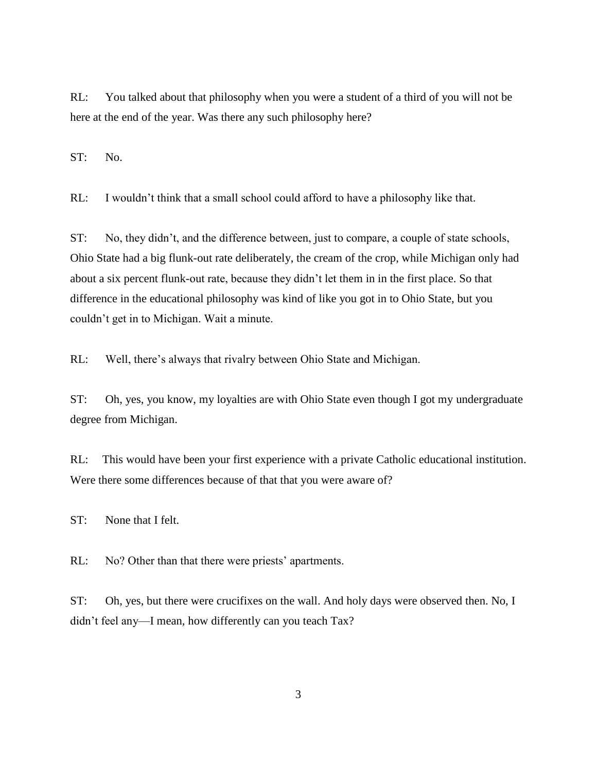RL: You talked about that philosophy when you were a student of a third of you will not be here at the end of the year. Was there any such philosophy here?

ST: No.

RL: I wouldn't think that a small school could afford to have a philosophy like that.

ST: No, they didn't, and the difference between, just to compare, a couple of state schools, Ohio State had a big flunk-out rate deliberately, the cream of the crop, while Michigan only had about a six percent flunk-out rate, because they didn't let them in in the first place. So that difference in the educational philosophy was kind of like you got in to Ohio State, but you couldn't get in to Michigan. Wait a minute.

RL: Well, there's always that rivalry between Ohio State and Michigan.

ST: Oh, yes, you know, my loyalties are with Ohio State even though I got my undergraduate degree from Michigan.

RL: This would have been your first experience with a private Catholic educational institution. Were there some differences because of that that you were aware of?

ST: None that I felt.

RL: No? Other than that there were priests' apartments.

ST: Oh, yes, but there were crucifixes on the wall. And holy days were observed then. No, I didn't feel any—I mean, how differently can you teach Tax?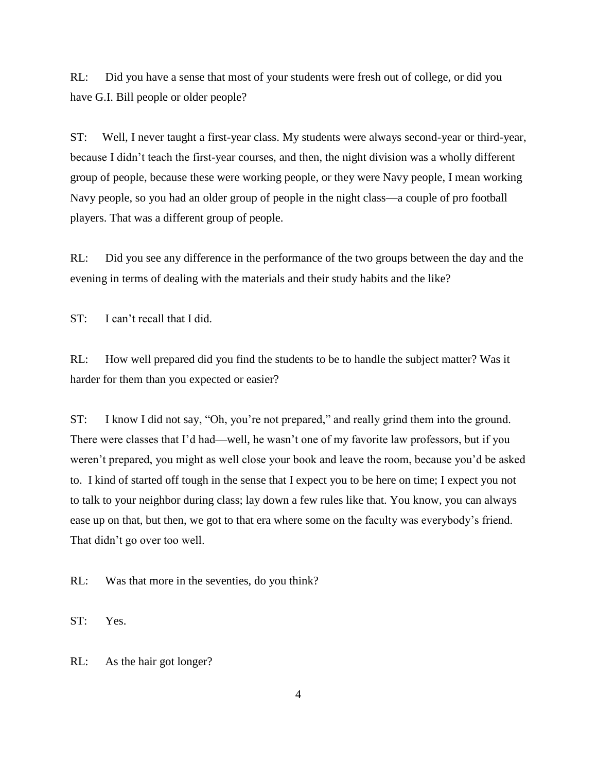RL: Did you have a sense that most of your students were fresh out of college, or did you have G.I. Bill people or older people?

ST: Well, I never taught a first-year class. My students were always second-year or third-year, because I didn't teach the first-year courses, and then, the night division was a wholly different group of people, because these were working people, or they were Navy people, I mean working Navy people, so you had an older group of people in the night class—a couple of pro football players. That was a different group of people.

RL: Did you see any difference in the performance of the two groups between the day and the evening in terms of dealing with the materials and their study habits and the like?

ST: I can't recall that I did.

RL: How well prepared did you find the students to be to handle the subject matter? Was it harder for them than you expected or easier?

ST: I know I did not say, "Oh, you're not prepared," and really grind them into the ground. There were classes that I'd had—well, he wasn't one of my favorite law professors, but if you weren't prepared, you might as well close your book and leave the room, because you'd be asked to. I kind of started off tough in the sense that I expect you to be here on time; I expect you not to talk to your neighbor during class; lay down a few rules like that. You know, you can always ease up on that, but then, we got to that era where some on the faculty was everybody's friend. That didn't go over too well.

RL: Was that more in the seventies, do you think?

ST: Yes.

RL: As the hair got longer?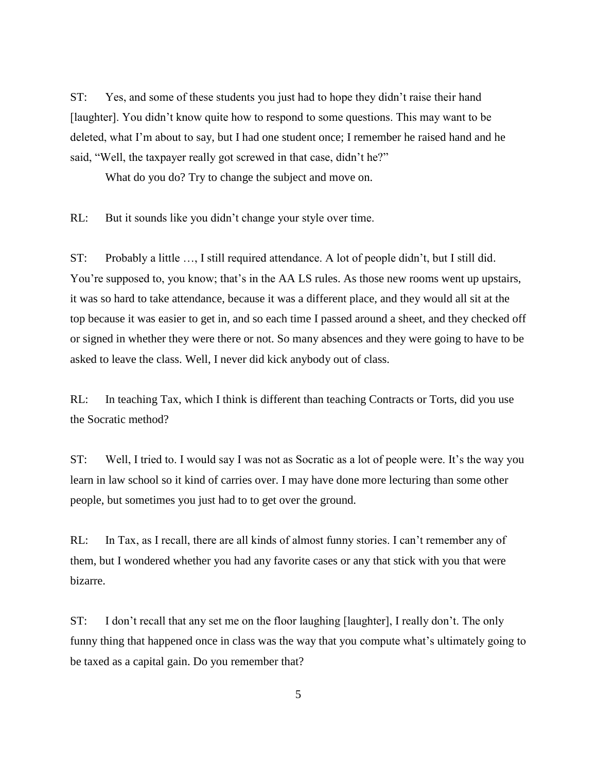ST: Yes, and some of these students you just had to hope they didn't raise their hand [laughter]. You didn't know quite how to respond to some questions. This may want to be deleted, what I'm about to say, but I had one student once; I remember he raised hand and he said, "Well, the taxpayer really got screwed in that case, didn't he?"

What do you do? Try to change the subject and move on.

RL: But it sounds like you didn't change your style over time.

ST: Probably a little …, I still required attendance. A lot of people didn't, but I still did. You're supposed to, you know; that's in the AA LS rules. As those new rooms went up upstairs, it was so hard to take attendance, because it was a different place, and they would all sit at the top because it was easier to get in, and so each time I passed around a sheet, and they checked off or signed in whether they were there or not. So many absences and they were going to have to be asked to leave the class. Well, I never did kick anybody out of class.

RL: In teaching Tax, which I think is different than teaching Contracts or Torts, did you use the Socratic method?

ST: Well, I tried to. I would say I was not as Socratic as a lot of people were. It's the way you learn in law school so it kind of carries over. I may have done more lecturing than some other people, but sometimes you just had to to get over the ground.

RL: In Tax, as I recall, there are all kinds of almost funny stories. I can't remember any of them, but I wondered whether you had any favorite cases or any that stick with you that were bizarre.

ST: I don't recall that any set me on the floor laughing [laughter], I really don't. The only funny thing that happened once in class was the way that you compute what's ultimately going to be taxed as a capital gain. Do you remember that?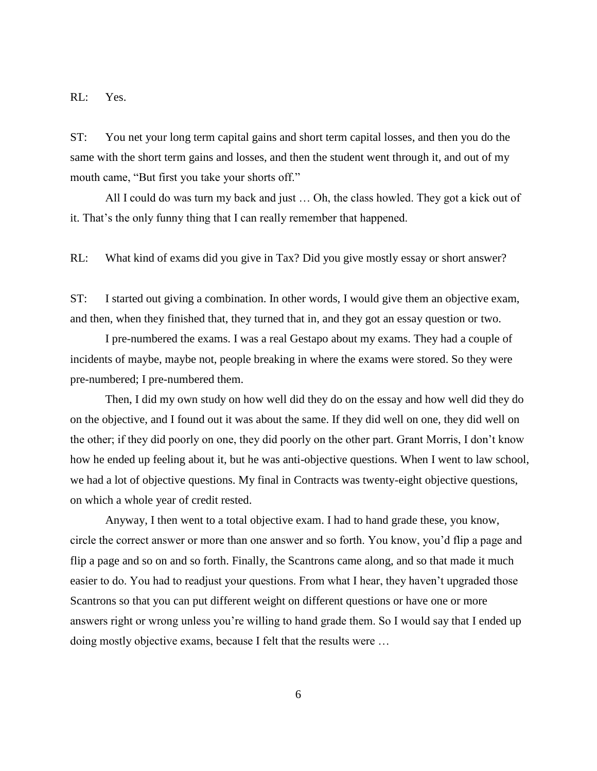RL: Yes.

ST: You net your long term capital gains and short term capital losses, and then you do the same with the short term gains and losses, and then the student went through it, and out of my mouth came, "But first you take your shorts off."

All I could do was turn my back and just … Oh, the class howled. They got a kick out of it. That's the only funny thing that I can really remember that happened.

RL: What kind of exams did you give in Tax? Did you give mostly essay or short answer?

ST: I started out giving a combination. In other words, I would give them an objective exam, and then, when they finished that, they turned that in, and they got an essay question or two.

I pre-numbered the exams. I was a real Gestapo about my exams. They had a couple of incidents of maybe, maybe not, people breaking in where the exams were stored. So they were pre-numbered; I pre-numbered them.

Then, I did my own study on how well did they do on the essay and how well did they do on the objective, and I found out it was about the same. If they did well on one, they did well on the other; if they did poorly on one, they did poorly on the other part. Grant Morris, I don't know how he ended up feeling about it, but he was anti-objective questions. When I went to law school, we had a lot of objective questions. My final in Contracts was twenty-eight objective questions, on which a whole year of credit rested.

Anyway, I then went to a total objective exam. I had to hand grade these, you know, circle the correct answer or more than one answer and so forth. You know, you'd flip a page and flip a page and so on and so forth. Finally, the Scantrons came along, and so that made it much easier to do. You had to readjust your questions. From what I hear, they haven't upgraded those Scantrons so that you can put different weight on different questions or have one or more answers right or wrong unless you're willing to hand grade them. So I would say that I ended up doing mostly objective exams, because I felt that the results were …

6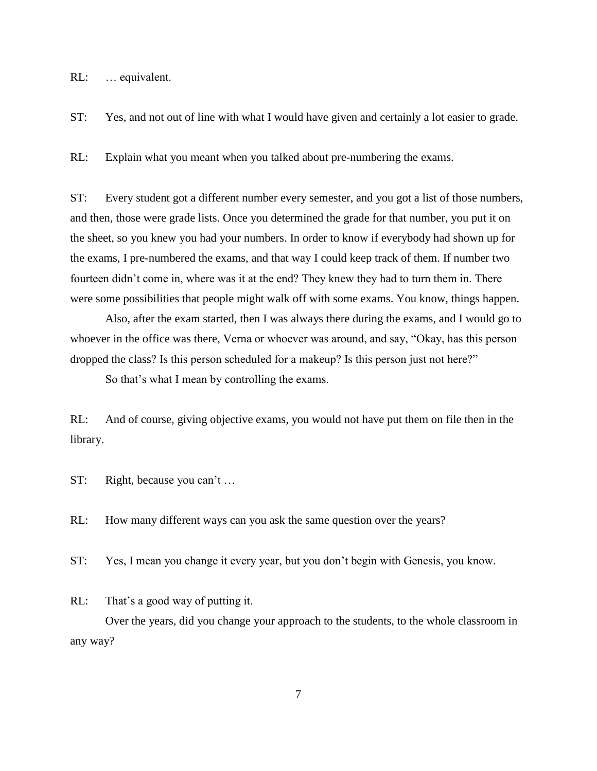RL: … equivalent.

ST: Yes, and not out of line with what I would have given and certainly a lot easier to grade.

RL: Explain what you meant when you talked about pre-numbering the exams.

ST: Every student got a different number every semester, and you got a list of those numbers, and then, those were grade lists. Once you determined the grade for that number, you put it on the sheet, so you knew you had your numbers. In order to know if everybody had shown up for the exams, I pre-numbered the exams, and that way I could keep track of them. If number two fourteen didn't come in, where was it at the end? They knew they had to turn them in. There were some possibilities that people might walk off with some exams. You know, things happen.

Also, after the exam started, then I was always there during the exams, and I would go to whoever in the office was there, Verna or whoever was around, and say, "Okay, has this person dropped the class? Is this person scheduled for a makeup? Is this person just not here?"

So that's what I mean by controlling the exams.

RL: And of course, giving objective exams, you would not have put them on file then in the library.

ST: Right, because you can't …

RL: How many different ways can you ask the same question over the years?

ST: Yes, I mean you change it every year, but you don't begin with Genesis, you know.

RL: That's a good way of putting it.

Over the years, did you change your approach to the students, to the whole classroom in any way?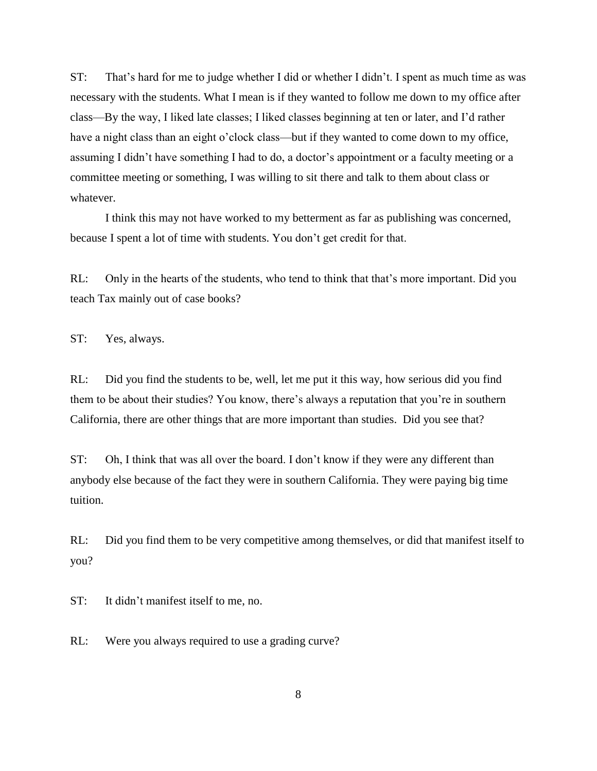ST: That's hard for me to judge whether I did or whether I didn't. I spent as much time as was necessary with the students. What I mean is if they wanted to follow me down to my office after class—By the way, I liked late classes; I liked classes beginning at ten or later, and I'd rather have a night class than an eight o'clock class—but if they wanted to come down to my office, assuming I didn't have something I had to do, a doctor's appointment or a faculty meeting or a committee meeting or something, I was willing to sit there and talk to them about class or whatever.

I think this may not have worked to my betterment as far as publishing was concerned, because I spent a lot of time with students. You don't get credit for that.

RL: Only in the hearts of the students, who tend to think that that's more important. Did you teach Tax mainly out of case books?

ST: Yes, always.

RL: Did you find the students to be, well, let me put it this way, how serious did you find them to be about their studies? You know, there's always a reputation that you're in southern California, there are other things that are more important than studies. Did you see that?

ST: Oh, I think that was all over the board. I don't know if they were any different than anybody else because of the fact they were in southern California. They were paying big time tuition.

RL: Did you find them to be very competitive among themselves, or did that manifest itself to you?

ST: It didn't manifest itself to me, no.

RL: Were you always required to use a grading curve?

8